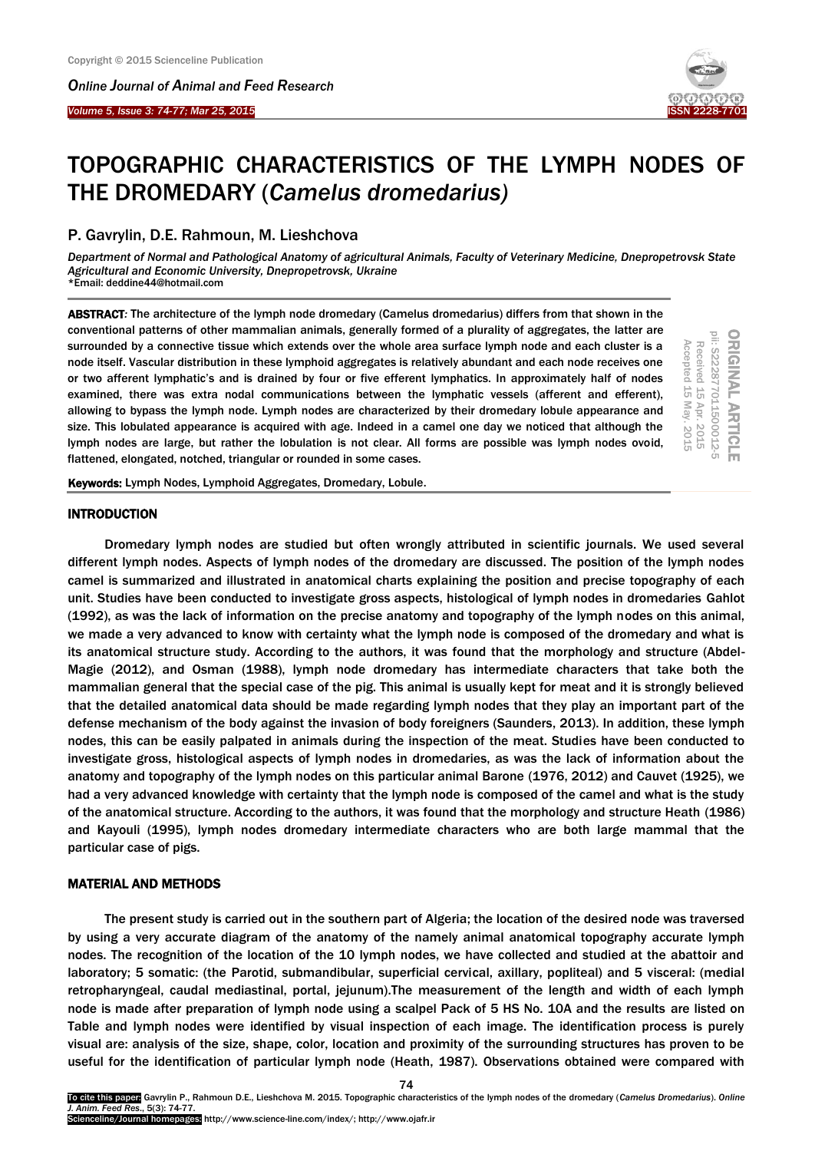*Online Journal of A[nimal and](http://www.ojafr.ir/main/) Feed Research*



ORIGINAL ARTICLE<br>pii: S222877011500012-5

Received 15

Received 15 Apr. 2015 Accepted 15 May. 2015

Accepted 15

May. 2015

Apr. 2015

# TOPOGRAPHIC CHARACTERISTICS OF THE LYMPH NODES OF THE DROMEDARY (*Camelus dromedarius)*

## P. Gavrylin, D.E. Rahmoun, M. Lieshchova

*Department of Normal and Pathological Anatomy of agricultural Animals, Faculty of Veterinary Medicine, Dnepropetrovsk State Agricultural and Economic University, Dnepropetrovsk, Ukraine* \*Email: deddine44@hotmail.com

ABSTRACT*:* The architecture of the lymph node dromedary (Camelus dromedarius) differs from that shown in the conventional patterns of other mammalian animals, generally formed of a plurality of aggregates, the latter are surrounded by a connective tissue which extends over the whole area surface lymph node and each cluster is a node itself. Vascular distribution in these lymphoid aggregates is relatively abundant and each node receives one or two afferent lymphatic's and is drained by four or five efferent lymphatics. In approximately half of nodes examined, there was extra nodal communications between the lymphatic vessels (afferent and efferent), allowing to bypass the lymph node. Lymph nodes are characterized by their dromedary lobule appearance and size. This lobulated appearance is acquired with age. Indeed in a camel one day we noticed that although the lymph nodes are large, but rather the lobulation is not clear. All forms are possible was lymph nodes ovoid, flattened, elongated, notched, triangular or rounded in some cases.

Keywords: Lymph Nodes, Lymphoid Aggregates, Dromedary, Lobule.

## **INTRODUCTION**

Dromedary lymph nodes are studied but often wrongly attributed in scientific journals. We used several different lymph nodes. Aspects of lymph nodes of the dromedary are discussed. The position of the lymph nodes camel is summarized and illustrated in anatomical charts explaining the position and precise topography of each unit. Studies have been conducted to investigate gross aspects, histological of lymph nodes in dromedaries Gahlot (1992), as was the lack of information on the precise anatomy and topography of the lymph nodes on this animal, we made a very advanced to know with certainty what the lymph node is composed of the dromedary and what is its anatomical structure study. According to the authors, it was found that the morphology and structure (Abdel-Magie (2012), and Osman (1988), lymph node dromedary has intermediate characters that take both the mammalian general that the special case of the pig. This animal is usually kept for meat and it is strongly believed that the detailed anatomical data should be made regarding lymph nodes that they play an important part of the defense mechanism of the body against the invasion of body foreigners (Saunders, 2013). In addition, these lymph nodes, this can be easily palpated in animals during the inspection of the meat. Studies have been conducted to investigate gross, histological aspects of lymph nodes in dromedaries, as was the lack of information about the anatomy and topography of the lymph nodes on this particular animal Barone (1976, 2012) and Cauvet (1925), we had a very advanced knowledge with certainty that the lymph node is composed of the camel and what is the study of the anatomical structure. According to the authors, it was found that the morphology and structure Heath (1986) and Kayouli (1995), lymph nodes dromedary intermediate characters who are both large mammal that the particular case of pigs.

## MATERIAL AND METHODS

The present study is carried out in the southern part of Algeria; the location of the desired node was traversed by using a very accurate diagram of the anatomy of the namely animal anatomical topography accurate lymph nodes. The recognition of the location of the 10 lymph nodes, we have collected and studied at the abattoir and laboratory; 5 somatic: (the Parotid, submandibular, superficial cervical, axillary, popliteal) and 5 visceral: (medial retropharyngeal, caudal mediastinal, portal, jejunum).The measurement of the length and width of each lymph node is made after preparation of lymph node using a scalpel Pack of 5 HS No. 10A and the results are listed on Table and lymph nodes were identified by visual inspection of each image. The identification process is purely visual are: analysis of the size, shape, color, location and proximity of the surrounding structures has proven to be useful for the identification of particular lymph node (Heath, 1987). Observations obtained were compared with

74

To cite this paper: Gavrylin P., Rahmoun D.E., Lieshchova M. 2015. Topographic characteristics of the lymph nodes of the dromedary (*Camelus Dromedarius*). *Online J. Anim. Feed Res*., 5(3): 74-77. Scienceline/Journal homepages: http://www.science-line.com/index/; http://www.ojafr.ir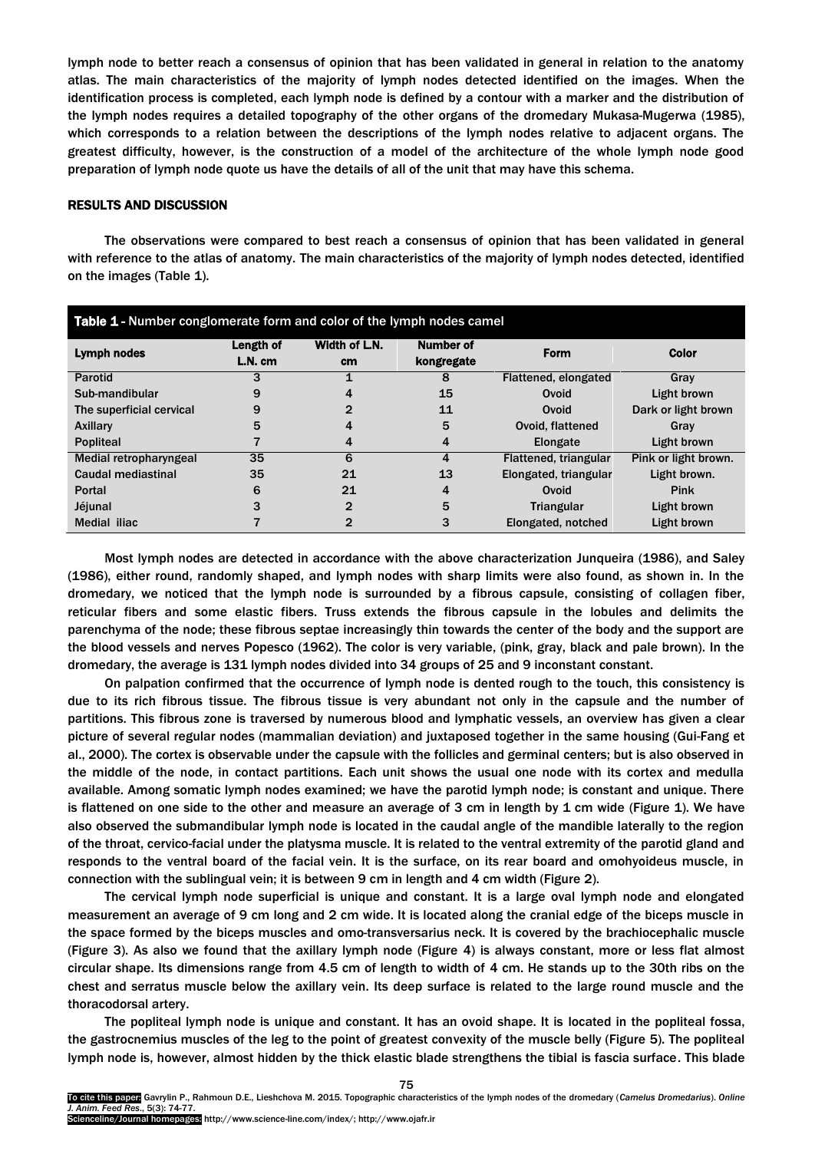lymph node to better reach a consensus of opinion that has been validated in general in relation to the anatomy atlas. The main characteristics of the majority of lymph nodes detected identified on the images. When the identification process is completed, each lymph node is defined by a contour with a marker and the distribution of the lymph nodes requires a detailed topography of the other organs of the dromedary Mukasa-Mugerwa (1985), which corresponds to a relation between the descriptions of the lymph nodes relative to adjacent organs. The greatest difficulty, however, is the construction of a model of the architecture of the whole lymph node good preparation of lymph node quote us have the details of all of the unit that may have this schema.

#### RESULTS AND DISCUSSION

The observations were compared to best reach a consensus of opinion that has been validated in general with reference to the atlas of anatomy. The main characteristics of the majority of lymph nodes detected, identified on the images (Table 1).

| Table 1 - Number conglomerate form and color of the lymph nodes camel |                      |                            |                                |                       |                      |
|-----------------------------------------------------------------------|----------------------|----------------------------|--------------------------------|-----------------------|----------------------|
| Lymph nodes                                                           | Length of<br>L.N. cm | Width of L.N.<br><b>cm</b> | <b>Number of</b><br>kongregate | Form                  | <b>Color</b>         |
| <b>Parotid</b>                                                        |                      |                            | 8                              | Flattened, elongated  | Gray                 |
| Sub-mandibular                                                        | 9                    | $\overline{a}$             | 15                             | Ovoid                 | Light brown          |
| The superficial cervical                                              | 9                    | 2                          | 11                             | Ovoid                 | Dark or light brown  |
| <b>Axillary</b>                                                       | 5                    | 4                          | 5                              | Ovoid, flattened      | Gray                 |
| <b>Popliteal</b>                                                      |                      | 4                          | 4                              | Elongate              | Light brown          |
| Medial retropharyngeal                                                | 35                   | 6                          | 4                              | Flattened, triangular | Pink or light brown. |
| Caudal mediastinal                                                    | 35                   | 21                         | 13                             | Elongated, triangular | Light brown.         |
| <b>Portal</b>                                                         | 6                    | 21                         | 4                              | Ovoid                 | <b>Pink</b>          |
| Jéjunal                                                               |                      | $\mathbf{2}$               | 5                              | <b>Triangular</b>     | Light brown          |
| Medial iliac                                                          |                      | 2                          | 3                              | Elongated, notched    | Light brown          |

Most lymph nodes are detected in accordance with the above characterization Junqueira (1986), and Saley (1986), either round, randomly shaped, and lymph nodes with sharp limits were also found, as shown in. In the dromedary, we noticed that the lymph node is surrounded by a fibrous capsule, consisting of collagen fiber, reticular fibers and some elastic fibers. Truss extends the fibrous capsule in the lobules and delimits the parenchyma of the node; these fibrous septae increasingly thin towards the center of the body and the support are the blood vessels and nerves Popesco (1962). The color is very variable, (pink, gray, black and pale brown). In the dromedary, the average is 131 lymph nodes divided into 34 groups of 25 and 9 inconstant constant.

On palpation confirmed that the occurrence of lymph node is dented rough to the touch, this consistency is due to its rich fibrous tissue. The fibrous tissue is very abundant not only in the capsule and the number of partitions. This fibrous zone is traversed by numerous blood and lymphatic vessels, an overview has given a clear picture of several regular nodes (mammalian deviation) and juxtaposed together in the same housing (Gui-Fang et al., 2000). The cortex is observable under the capsule with the follicles and germinal centers; but is also observed in the middle of the node, in contact partitions. Each unit shows the usual one node with its cortex and medulla available. Among somatic lymph nodes examined; we have the parotid lymph node; is constant and unique. There is flattened on one side to the other and measure an average of 3 cm in length by 1 cm wide (Figure 1). We have also observed the submandibular lymph node is located in the caudal angle of the mandible laterally to the region of the throat, cervico-facial under the platysma muscle. It is related to the ventral extremity of the parotid gland and responds to the ventral board of the facial vein. It is the surface, on its rear board and omohyoideus muscle, in connection with the sublingual vein; it is between 9 cm in length and 4 cm width (Figure 2).

The cervical lymph node superficial is unique and constant. It is a large oval lymph node and elongated measurement an average of 9 cm long and 2 cm wide. It is located along the cranial edge of the biceps muscle in the space formed by the biceps muscles and omo-transversarius neck. It is covered by the brachiocephalic muscle (Figure 3). As also we found that the axillary lymph node (Figure 4) is always constant, more or less flat almost circular shape. Its dimensions range from 4.5 cm of length to width of 4 cm. He stands up to the 30th ribs on the chest and serratus muscle below the axillary vein. Its deep surface is related to the large round muscle and the thoracodorsal artery.

The popliteal lymph node is unique and constant. It has an ovoid shape. It is located in the popliteal fossa, the gastrocnemius muscles of the leg to the point of greatest convexity of the muscle belly (Figure 5). The popliteal lymph node is, however, almost hidden by the thick elastic blade strengthens the tibial is fascia surface. This blade

75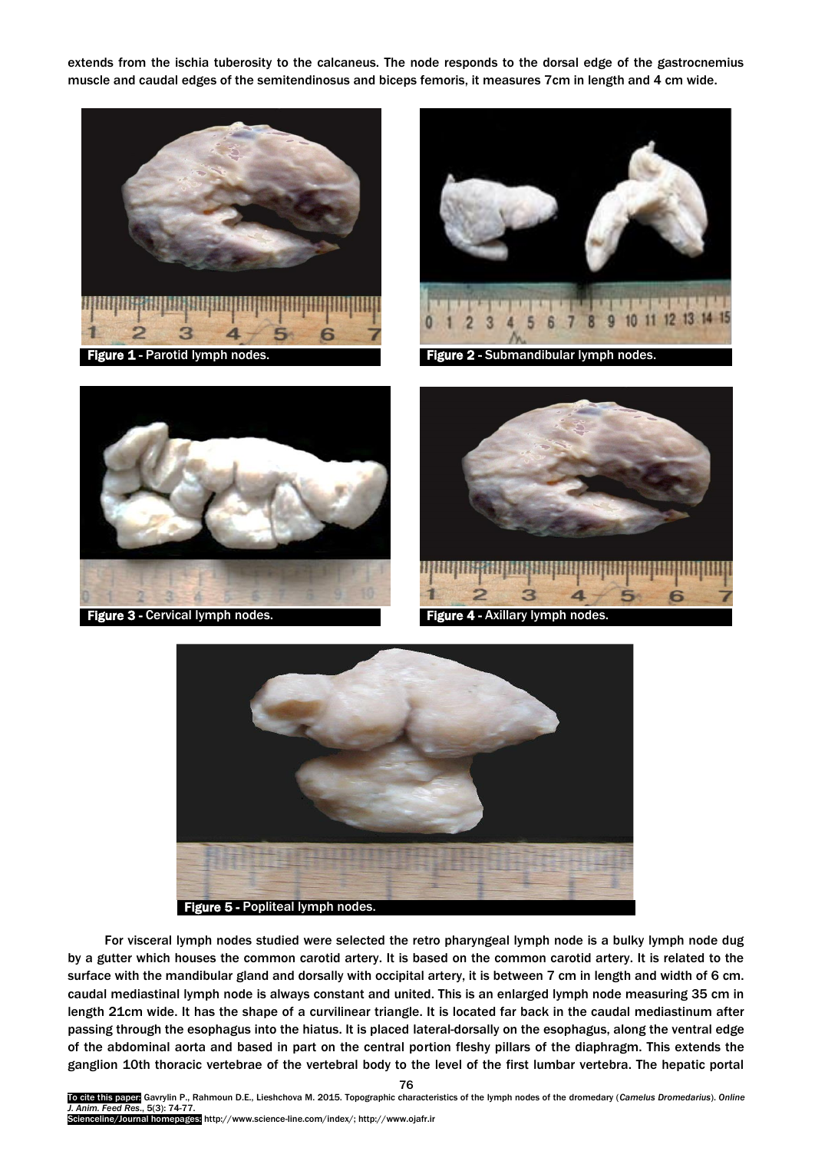extends from the ischia tuberosity to the calcaneus. The node responds to the dorsal edge of the gastrocnemius muscle and caudal edges of the semitendinosus and biceps femoris, it measures 7cm in length and 4 cm wide.





Figure 1 - Parotid lymph nodes. The Submandibular lymph node







For visceral lymph nodes studied were selected the retro pharyngeal lymph node is a bulky lymph node dug by a gutter which houses the common carotid artery. It is based on the common carotid artery. It is related to the surface with the mandibular gland and dorsally with occipital artery, it is between 7 cm in length and width of 6 cm. caudal mediastinal lymph node is always constant and united. This is an enlarged lymph node measuring 35 cm in length 21cm wide. It has the shape of a curvilinear triangle. It is located far back in the caudal mediastinum after passing through the esophagus into the hiatus. It is placed lateral-dorsally on the esophagus, along the ventral edge of the abdominal aorta and based in part on the central portion fleshy pillars of the diaphragm. This extends the ganglion 10th thoracic vertebrae of the vertebral body to the level of the first lumbar vertebra. The hepatic portal

76

To cite this paper: Gavrylin P., Rahmoun D.E., Lieshchova M. 2015. Topographic characteristics of the lymph nodes of the dromedary (*Camelus Dromedarius*). *Online J. Anim. Feed Res*., 5(3): 74-77. Scienceline/Journal homepages: http://www.science-line.com/index/; http://www.ojafr.ir